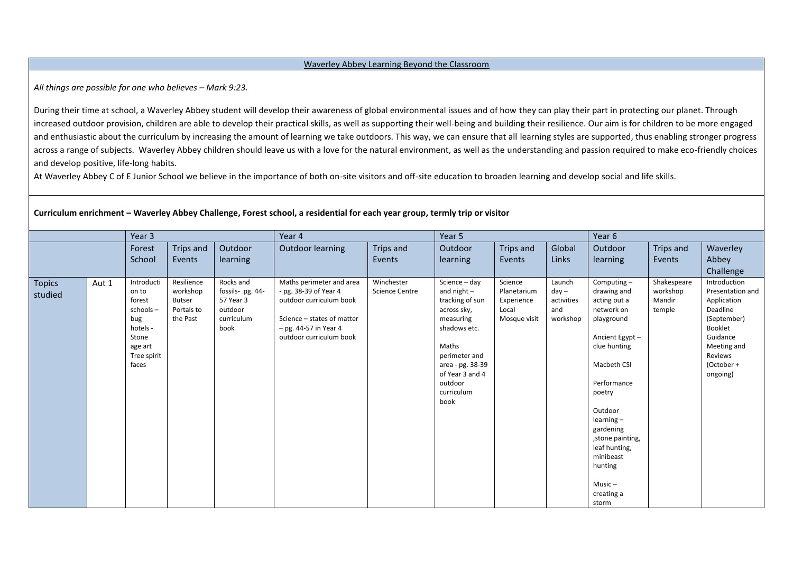## Waverley Abbey Learning Beyond the Classroom

All things are possible for one who believes – Mark 9:23.

During their time at school, a Waverley Abbey student will develop their awareness of global environmental issues and of how they can play their part in protecting our planet. Through increased outdoor provision, children are able to develop their practical skills, as well as supporting their well-being and building their resilience. Our aim is for children to be more engaged and enthusiastic about the curriculum by increasing the amount of learning we take outdoors. This way, we can ensure that all learning styles are supported, thus enabling stronger progress across a range of subjects. Waverley Abbey children should leave us with a love for the natural environment, as well as the understanding and passion required to make eco-friendly choices and develop positive, life-long habits.

At Waverley Abbey C of E Junior School we believe in the importance of both on-site visitors and off-site education to broaden learning and develop social and life skills.

|                          |       | Year 3                                                                                                      |                                                                   | Year 4                                                                      |                                                                                                                                                                  | Year 5                              |                                                                                                                                                                                                 |                                                               | Year 6                                             |                                                                                                                                                                                                                                                                                              |                                             |                                                                                                                                                       |
|--------------------------|-------|-------------------------------------------------------------------------------------------------------------|-------------------------------------------------------------------|-----------------------------------------------------------------------------|------------------------------------------------------------------------------------------------------------------------------------------------------------------|-------------------------------------|-------------------------------------------------------------------------------------------------------------------------------------------------------------------------------------------------|---------------------------------------------------------------|----------------------------------------------------|----------------------------------------------------------------------------------------------------------------------------------------------------------------------------------------------------------------------------------------------------------------------------------------------|---------------------------------------------|-------------------------------------------------------------------------------------------------------------------------------------------------------|
|                          |       | Forest                                                                                                      | Trips and                                                         | Outdoor                                                                     | <b>Outdoor learning</b>                                                                                                                                          | Trips and                           | Outdoor                                                                                                                                                                                         | Trips and                                                     | Global                                             | Outdoor                                                                                                                                                                                                                                                                                      | Trips and                                   | Waverley                                                                                                                                              |
|                          |       | School                                                                                                      | Events                                                            | learning                                                                    |                                                                                                                                                                  | Events                              | learning                                                                                                                                                                                        | Events                                                        | Links                                              | learning                                                                                                                                                                                                                                                                                     | Events                                      | Abbey                                                                                                                                                 |
|                          |       |                                                                                                             |                                                                   |                                                                             |                                                                                                                                                                  |                                     |                                                                                                                                                                                                 |                                                               |                                                    |                                                                                                                                                                                                                                                                                              |                                             | Challenge                                                                                                                                             |
| <b>Topics</b><br>studied | Aut 1 | Introducti<br>on to<br>forest<br>$schools -$<br>bug<br>hotels -<br>Stone<br>age art<br>Tree spirit<br>faces | Resilience<br>workshop<br><b>Butser</b><br>Portals to<br>the Past | Rocks and<br>fossils- pg. 44-<br>57 Year 3<br>outdoor<br>curriculum<br>book | Maths perimeter and area<br>- pg. 38-39 of Year 4<br>outdoor curriculum book<br>Science - states of matter<br>$-$ pg. 44-57 in Year 4<br>outdoor curriculum book | Winchester<br><b>Science Centre</b> | Science - day<br>and $night$ –<br>tracking of sun<br>across sky,<br>measuring<br>shadows etc.<br>Maths<br>perimeter and<br>area - pg. 38-39<br>of Year 3 and 4<br>outdoor<br>curriculum<br>book | Science<br>Planetarium<br>Experience<br>Local<br>Mosque visit | Launch<br>$day -$<br>activities<br>and<br>workshop | Computing $-$<br>drawing and<br>acting out a<br>network on<br>playground<br>Ancient Egypt-<br>clue hunting<br>Macbeth CSI<br>Performance<br>poetry<br>Outdoor<br>$learning -$<br>gardening<br>, stone painting,<br>leaf hunting,<br>minibeast<br>hunting<br>$Music -$<br>creating a<br>storm | Shakespeare<br>workshop<br>Mandir<br>temple | Introduction<br>Presentation and<br>Application<br>Deadline<br>(September)<br>Booklet<br>Guidance<br>Meeting and<br>Reviews<br>(October +<br>ongoing) |

**Curriculum enrichment – Waverley Abbey Challenge, Forest school, a residential for each year group, termly trip or visitor**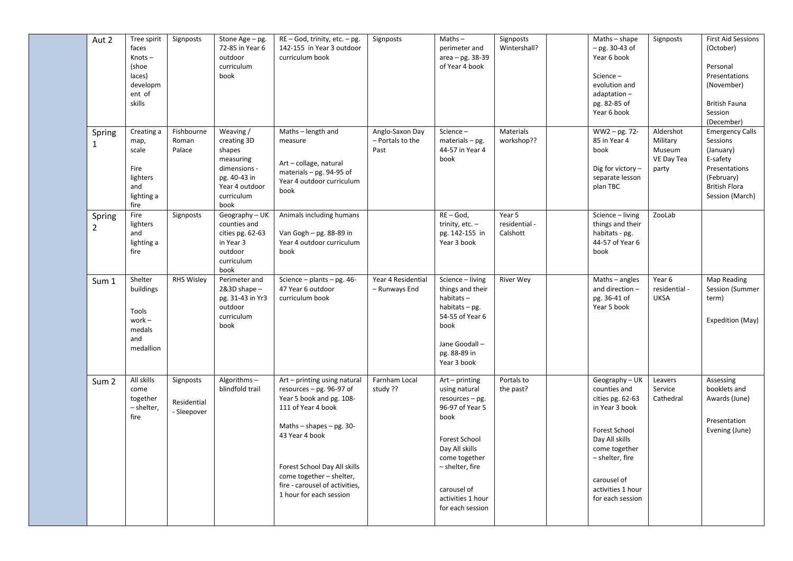| Aut 2                    | Tree spirit<br>faces<br>Knots-<br>(shoe<br>laces)<br>developm<br>ent of<br>skills | Signposts                               | Stone Age - pg.<br>72-85 in Year 6<br>outdoor<br>curriculum<br>book                                                     | RE - God, trinity, etc. - pg.<br>142-155 in Year 3 outdoor<br>curriculum book                                                                                                                                                                                                           | Signposts                                   | $Maths -$<br>perimeter and<br>area - pg. 38-39<br>of Year 4 book                                                                                                                                               | Signposts<br>Wintershall?           | Maths - shape<br>$-$ pg. 30-43 of<br>Year 6 book<br>Science-<br>evolution and<br>adaptation-<br>pg. 82-85 of<br>Year 6 book                                                                       | Signposts                                              | <b>First Aid Sessions</b><br>(October)<br>Personal<br>Presentations<br>(November)<br><b>British Fauna</b><br>Session<br>(December)    |
|--------------------------|-----------------------------------------------------------------------------------|-----------------------------------------|-------------------------------------------------------------------------------------------------------------------------|-----------------------------------------------------------------------------------------------------------------------------------------------------------------------------------------------------------------------------------------------------------------------------------------|---------------------------------------------|----------------------------------------------------------------------------------------------------------------------------------------------------------------------------------------------------------------|-------------------------------------|---------------------------------------------------------------------------------------------------------------------------------------------------------------------------------------------------|--------------------------------------------------------|---------------------------------------------------------------------------------------------------------------------------------------|
| Spring<br>$\mathbf{1}$   | Creating a<br>map,<br>scale<br>Fire<br>lighters<br>and<br>lighting a<br>fire      | Fishbourne<br>Roman<br>Palace           | Weaving /<br>creating 3D<br>shapes<br>measuring<br>dimensions -<br>pg. 40-43 in<br>Year 4 outdoor<br>curriculum<br>book | Maths - length and<br>measure<br>Art - collage, natural<br>materials - pg. 94-95 of<br>Year 4 outdoor curriculum<br>book                                                                                                                                                                | Anglo-Saxon Day<br>- Portals to the<br>Past | Science-<br>$materials - pg.$<br>44-57 in Year 4<br>book                                                                                                                                                       | Materials<br>workshop??             | WW2-pg. 72-<br>85 in Year 4<br>book<br>Dig for victory -<br>separate lesson<br>plan TBC                                                                                                           | Aldershot<br>Military<br>Museum<br>VE Day Tea<br>party | <b>Emergency Calls</b><br>Sessions<br>(January)<br>E-safety<br>Presentations<br>(February)<br><b>British Flora</b><br>Session (March) |
| Spring<br>$\overline{2}$ | Fire<br>lighters<br>and<br>lighting a<br>fire                                     | Signposts                               | Geography - UK<br>counties and<br>cities pg. 62-63<br>in Year 3<br>outdoor<br>curriculum<br>book                        | Animals including humans<br>Van Gogh - pg. 88-89 in<br>Year 4 outdoor curriculum<br>book                                                                                                                                                                                                |                                             | $RE - God$ ,<br>trinity, $etc. -$<br>pg. 142-155 in<br>Year 3 book                                                                                                                                             | Year 5<br>residential -<br>Calshott | Science - living<br>things and their<br>habitats - pg.<br>44-57 of Year 6<br>book                                                                                                                 | ZooLab                                                 |                                                                                                                                       |
| Sum 1                    | Shelter<br>buildings<br>Tools<br>$work -$<br>medals<br>and<br>medallion           | <b>RHS Wisley</b>                       | Perimeter and<br>$2&3D$ shape $-$<br>pg. 31-43 in Yr3<br>outdoor<br>curriculum<br>book                                  | Science - plants - pg. 46-<br>47 Year 6 outdoor<br>curriculum book                                                                                                                                                                                                                      | Year 4 Residential<br>- Runways End         | Science - living<br>things and their<br>habitats-<br>habitats $-$ pg.<br>54-55 of Year 6<br>book<br>Jane Goodall -<br>pg. 88-89 in<br>Year 3 book                                                              | <b>River Wey</b>                    | Maths - angles<br>and direction -<br>pg. 36-41 of<br>Year 5 book                                                                                                                                  | Year 6<br>residential -<br><b>UKSA</b>                 | Map Reading<br>Session (Summer<br>term)<br>Expedition (May)                                                                           |
| Sum <sub>2</sub>         | All skills<br>come<br>together<br>- shelter,<br>fire                              | Signposts<br>Residential<br>- Sleepover | Algorithms-<br>blindfold trail                                                                                          | Art - printing using natural<br>resources $-$ pg. 96-97 of<br>Year 5 book and pg. 108-<br>111 of Year 4 book<br>Maths $-$ shapes $-$ pg. 30-<br>43 Year 4 book<br>Forest School Day All skills<br>come together - shelter,<br>fire - carousel of activities,<br>1 hour for each session | Farnham Local<br>study ??                   | $Art - printing$<br>using natural<br>resources - pg.<br>96-97 of Year 5<br>book<br>Forest School<br>Day All skills<br>come together<br>- shelter, fire<br>carousel of<br>activities 1 hour<br>for each session | Portals to<br>the past?             | Geography-UK<br>counties and<br>cities pg. 62-63<br>in Year 3 book<br>Forest School<br>Day All skills<br>come together<br>- shelter, fire<br>carousel of<br>activities 1 hour<br>for each session | Leavers<br>Service<br>Cathedral                        | Assessing<br>booklets and<br>Awards (June)<br>Presentation<br>Evening (June)                                                          |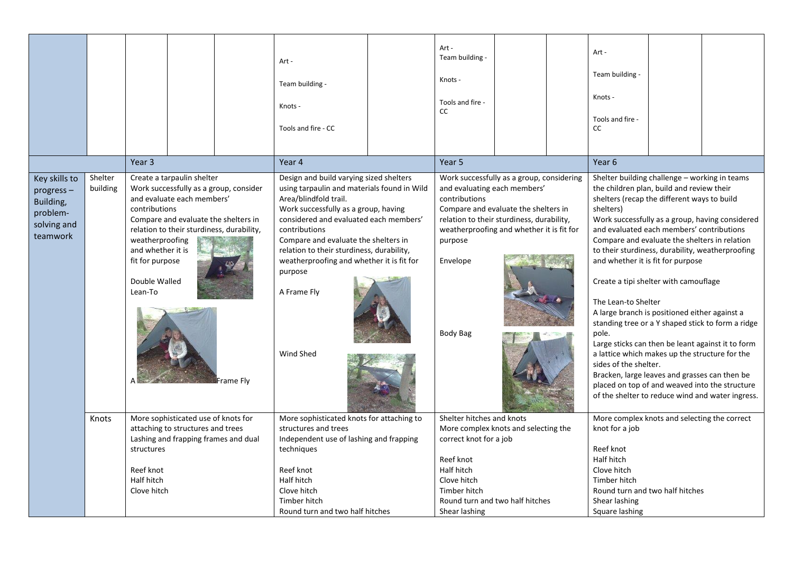|                                                                                |                     | Year 3                                                                                                                                                                   |                                                                                                                                                                        | Art -<br>Team building -<br>Knots -<br>Tools and fire - CC                                                                                                                                                              |                                                                                                                                                                                                                                                                                                                                                                                                       | Art -<br>Team building -<br>Knots -<br>Tools and fire -<br>CC                                                                                                                                             |                                                                                                                                                                                                                                                                                  |  | Art-<br>Team building -<br>Knots -<br>Tools and fire -<br><b>CC</b><br>Year 6                                                                                                                                                                                                                                                                                                                                                                                                                                                                                                                                                                                                                                                                                                                                                                                          |  |  |
|--------------------------------------------------------------------------------|---------------------|--------------------------------------------------------------------------------------------------------------------------------------------------------------------------|------------------------------------------------------------------------------------------------------------------------------------------------------------------------|-------------------------------------------------------------------------------------------------------------------------------------------------------------------------------------------------------------------------|-------------------------------------------------------------------------------------------------------------------------------------------------------------------------------------------------------------------------------------------------------------------------------------------------------------------------------------------------------------------------------------------------------|-----------------------------------------------------------------------------------------------------------------------------------------------------------------------------------------------------------|----------------------------------------------------------------------------------------------------------------------------------------------------------------------------------------------------------------------------------------------------------------------------------|--|------------------------------------------------------------------------------------------------------------------------------------------------------------------------------------------------------------------------------------------------------------------------------------------------------------------------------------------------------------------------------------------------------------------------------------------------------------------------------------------------------------------------------------------------------------------------------------------------------------------------------------------------------------------------------------------------------------------------------------------------------------------------------------------------------------------------------------------------------------------------|--|--|
| Key skills to<br>progress-<br>Building,<br>problem-<br>solving and<br>teamwork | Shelter<br>building | Create a tarpaulin shelter<br>contributions<br>weatherproofing<br>and whether it is<br>fit for purpose<br>Double Walled<br>Lean-To                                       | Work successfully as a group, consider<br>and evaluate each members'<br>Compare and evaluate the shelters in<br>relation to their sturdiness, durability,<br>Frame Flv |                                                                                                                                                                                                                         | Year 4<br>Design and build varying sized shelters<br>using tarpaulin and materials found in Wild<br>Area/blindfold trail.<br>Work successfully as a group, having<br>considered and evaluated each members'<br>contributions<br>Compare and evaluate the shelters in<br>relation to their sturdiness, durability,<br>weatherproofing and whether it is fit for<br>purpose<br>A Frame Fly<br>Wind Shed |                                                                                                                                                                                                           | Year 5<br>Work successfully as a group, considering<br>and evaluating each members'<br>contributions<br>Compare and evaluate the shelters in<br>relation to their sturdiness, durability,<br>weatherproofing and whether it is fit for<br>purpose<br>Envelope<br><b>Body Bag</b> |  | Shelter building challenge - working in teams<br>the children plan, build and review their<br>shelters (recap the different ways to build<br>shelters)<br>Work successfully as a group, having considered<br>and evaluated each members' contributions<br>Compare and evaluate the shelters in relation<br>to their sturdiness, durability, weatherproofing<br>and whether it is fit for purpose<br>Create a tipi shelter with camouflage<br>The Lean-to Shelter<br>A large branch is positioned either against a<br>standing tree or a Y shaped stick to form a ridge<br>pole.<br>Large sticks can then be leant against it to form<br>a lattice which makes up the structure for the<br>sides of the shelter.<br>Bracken, large leaves and grasses can then be<br>placed on top of and weaved into the structure<br>of the shelter to reduce wind and water ingress. |  |  |
|                                                                                | Knots               | More sophisticated use of knots for<br>attaching to structures and trees<br>Lashing and frapping frames and dual<br>structures<br>Reef knot<br>Half hitch<br>Clove hitch |                                                                                                                                                                        | More sophisticated knots for attaching to<br>structures and trees<br>Independent use of lashing and frapping<br>techniques<br>Reef knot<br>Half hitch<br>Clove hitch<br>Timber hitch<br>Round turn and two half hitches |                                                                                                                                                                                                                                                                                                                                                                                                       | Shelter hitches and knots<br>More complex knots and selecting the<br>correct knot for a job<br>Reef knot<br>Half hitch<br>Clove hitch<br>Timber hitch<br>Round turn and two half hitches<br>Shear lashing |                                                                                                                                                                                                                                                                                  |  | More complex knots and selecting the correct<br>knot for a job<br>Reef knot<br>Half hitch<br>Clove hitch<br>Timber hitch<br>Round turn and two half hitches<br>Shear lashing<br>Square lashing                                                                                                                                                                                                                                                                                                                                                                                                                                                                                                                                                                                                                                                                         |  |  |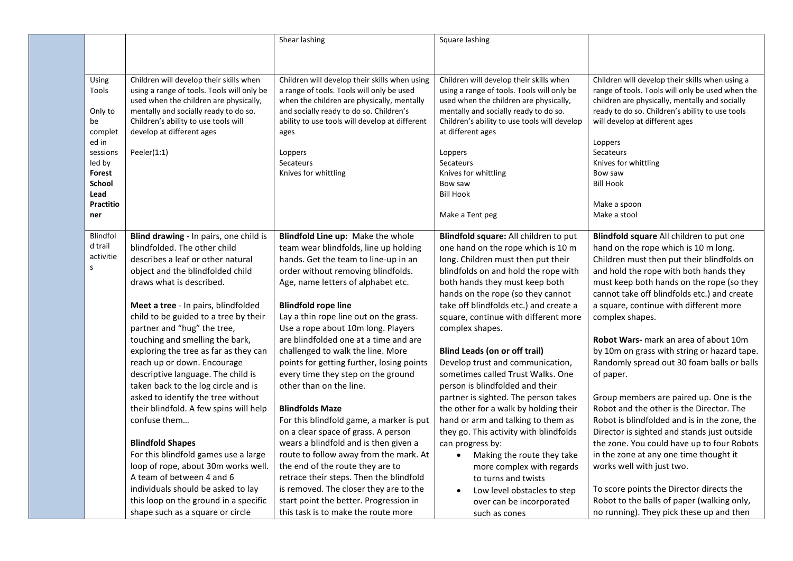|                         |                                            | Shear lashing                                  | Square lashing                               |                                                  |
|-------------------------|--------------------------------------------|------------------------------------------------|----------------------------------------------|--------------------------------------------------|
|                         |                                            |                                                |                                              |                                                  |
|                         |                                            |                                                |                                              |                                                  |
|                         | Children will develop their skills when    | Children will develop their skills when using  | Children will develop their skills when      | Children will develop their skills when using a  |
| Using<br>Tools          | using a range of tools. Tools will only be | a range of tools. Tools will only be used      | using a range of tools. Tools will only be   | range of tools. Tools will only be used when the |
|                         | used when the children are physically,     | when the children are physically, mentally     | used when the children are physically,       | children are physically, mentally and socially   |
| Only to                 | mentally and socially ready to do so.      | and socially ready to do so. Children's        | mentally and socially ready to do so.        | ready to do so. Children's ability to use tools  |
| be                      | Children's ability to use tools will       | ability to use tools will develop at different | Children's ability to use tools will develop | will develop at different ages                   |
| complet                 | develop at different ages                  | ages                                           | at different ages                            |                                                  |
| ed in                   |                                            |                                                |                                              | Loppers                                          |
| sessions                | Peeler $(1:1)$                             | Loppers                                        | Loppers                                      | Secateurs                                        |
| led by                  |                                            | Secateurs                                      | Secateurs                                    | Knives for whittling                             |
| <b>Forest</b>           |                                            | Knives for whittling                           | Knives for whittling                         | Bow saw                                          |
| <b>School</b>           |                                            |                                                | Bow saw                                      | <b>Bill Hook</b>                                 |
| Lead                    |                                            |                                                | <b>Bill Hook</b>                             |                                                  |
| <b>Practitio</b><br>ner |                                            |                                                | Make a Tent peg                              | Make a spoon<br>Make a stool                     |
|                         |                                            |                                                |                                              |                                                  |
| Blindfol                | Blind drawing - In pairs, one child is     | Blindfold Line up: Make the whole              | Blindfold square: All children to put        | Blindfold square All children to put one         |
| d trail                 | blindfolded. The other child               | team wear blindfolds, line up holding          | one hand on the rope which is 10 m           | hand on the rope which is 10 m long.             |
| activitie               | describes a leaf or other natural          | hands. Get the team to line-up in an           | long. Children must then put their           | Children must then put their blindfolds on       |
| ${\sf S}$               | object and the blindfolded child           | order without removing blindfolds.             | blindfolds on and hold the rope with         | and hold the rope with both hands they           |
|                         | draws what is described.                   | Age, name letters of alphabet etc.             | both hands they must keep both               | must keep both hands on the rope (so they        |
|                         |                                            |                                                | hands on the rope (so they cannot            | cannot take off blindfolds etc.) and create      |
|                         | Meet a tree - In pairs, blindfolded        | <b>Blindfold rope line</b>                     | take off blindfolds etc.) and create a       | a square, continue with different more           |
|                         | child to be guided to a tree by their      | Lay a thin rope line out on the grass.         | square, continue with different more         | complex shapes.                                  |
|                         | partner and "hug" the tree,                | Use a rope about 10m long. Players             | complex shapes.                              |                                                  |
|                         | touching and smelling the bark,            | are blindfolded one at a time and are          |                                              | Robot Wars- mark an area of about 10m            |
|                         | exploring the tree as far as they can      | challenged to walk the line. More              | <b>Blind Leads (on or off trail)</b>         | by 10m on grass with string or hazard tape.      |
|                         | reach up or down. Encourage                | points for getting further, losing points      | Develop trust and communication,             | Randomly spread out 30 foam balls or balls       |
|                         | descriptive language. The child is         | every time they step on the ground             | sometimes called Trust Walks, One            | of paper.                                        |
|                         | taken back to the log circle and is        | other than on the line.                        | person is blindfolded and their              |                                                  |
|                         | asked to identify the tree without         |                                                | partner is sighted. The person takes         | Group members are paired up. One is the          |
|                         | their blindfold. A few spins will help     | <b>Blindfolds Maze</b>                         | the other for a walk by holding their        | Robot and the other is the Director. The         |
|                         | confuse them                               | For this blindfold game, a marker is put       | hand or arm and talking to them as           | Robot is blindfolded and is in the zone, the     |
|                         |                                            | on a clear space of grass. A person            | they go. This activity with blindfolds       | Director is sighted and stands just outside      |
|                         | <b>Blindfold Shapes</b>                    | wears a blindfold and is then given a          | can progress by:                             | the zone. You could have up to four Robots       |
|                         | For this blindfold games use a large       | route to follow away from the mark. At         | Making the route they take<br>$\bullet$      | in the zone at any one time thought it           |
|                         | loop of rope, about 30m works well.        | the end of the route they are to               | more complex with regards                    | works well with just two.                        |
|                         | A team of between 4 and 6                  | retrace their steps. Then the blindfold        | to turns and twists                          |                                                  |
|                         | individuals should be asked to lay         | is removed. The closer they are to the         | Low level obstacles to step<br>$\bullet$     | To score points the Director directs the         |
|                         | this loop on the ground in a specific      | start point the better. Progression in         | over can be incorporated                     | Robot to the balls of paper (walking only,       |
|                         | shape such as a square or circle           | this task is to make the route more            | such as cones                                | no running). They pick these up and then         |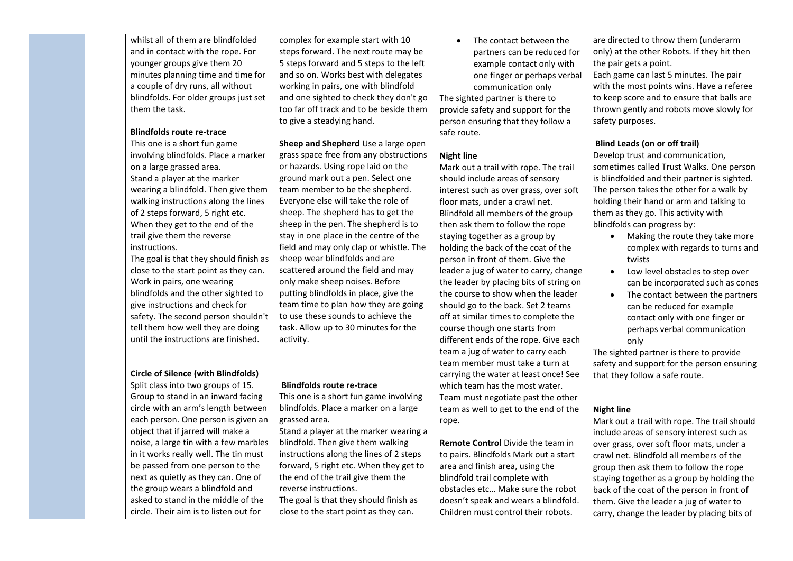| whilst all of them are blindfolded<br>and in contact with the rope. For<br>younger groups give them 20 | complex for example start with 10<br>steps forward. The next route may be<br>5 steps forward and 5 steps to the left | The contact between the<br>partners can be reduced for<br>example contact only with | are directed to throw them (underarm<br>only) at the other Robots. If they hit then<br>the pair gets a point. |
|--------------------------------------------------------------------------------------------------------|----------------------------------------------------------------------------------------------------------------------|-------------------------------------------------------------------------------------|---------------------------------------------------------------------------------------------------------------|
| minutes planning time and time for                                                                     | and so on. Works best with delegates                                                                                 | one finger or perhaps verbal                                                        | Each game can last 5 minutes. The pair                                                                        |
| a couple of dry runs, all without                                                                      | working in pairs, one with blindfold                                                                                 | communication only                                                                  | with the most points wins. Have a referee                                                                     |
| blindfolds. For older groups just set                                                                  | and one sighted to check they don't go                                                                               | The sighted partner is there to                                                     | to keep score and to ensure that balls are                                                                    |
| them the task.                                                                                         | too far off track and to be beside them                                                                              | provide safety and support for the                                                  | thrown gently and robots move slowly for                                                                      |
|                                                                                                        | to give a steadying hand.                                                                                            | person ensuring that they follow a                                                  | safety purposes.                                                                                              |
| <b>Blindfolds route re-trace</b>                                                                       |                                                                                                                      | safe route.                                                                         |                                                                                                               |
| This one is a short fun game                                                                           | Sheep and Shepherd Use a large open                                                                                  |                                                                                     | <b>Blind Leads (on or off trail)</b>                                                                          |
| involving blindfolds. Place a marker                                                                   | grass space free from any obstructions                                                                               | <b>Night line</b>                                                                   | Develop trust and communication,                                                                              |
| on a large grassed area.                                                                               | or hazards. Using rope laid on the                                                                                   | Mark out a trail with rope. The trail                                               | sometimes called Trust Walks. One person                                                                      |
| Stand a player at the marker                                                                           | ground mark out a pen. Select one                                                                                    | should include areas of sensory                                                     | is blindfolded and their partner is sighted.                                                                  |
| wearing a blindfold. Then give them                                                                    | team member to be the shepherd.                                                                                      | interest such as over grass, over soft                                              | The person takes the other for a walk by                                                                      |
| walking instructions along the lines                                                                   | Everyone else will take the role of                                                                                  | floor mats, under a crawl net.                                                      | holding their hand or arm and talking to                                                                      |
| of 2 steps forward, 5 right etc.                                                                       | sheep. The shepherd has to get the                                                                                   | Blindfold all members of the group                                                  | them as they go. This activity with                                                                           |
| When they get to the end of the                                                                        | sheep in the pen. The shepherd is to                                                                                 | then ask them to follow the rope                                                    | blindfolds can progress by:                                                                                   |
| trail give them the reverse                                                                            | stay in one place in the centre of the                                                                               | staying together as a group by                                                      | Making the route they take more<br>$\bullet$                                                                  |
| instructions.                                                                                          | field and may only clap or whistle. The                                                                              | holding the back of the coat of the                                                 | complex with regards to turns and                                                                             |
| The goal is that they should finish as                                                                 | sheep wear blindfolds and are                                                                                        | person in front of them. Give the                                                   | twists                                                                                                        |
| close to the start point as they can.                                                                  | scattered around the field and may                                                                                   | leader a jug of water to carry, change                                              | Low level obstacles to step over<br>$\bullet$                                                                 |
| Work in pairs, one wearing                                                                             | only make sheep noises. Before                                                                                       | the leader by placing bits of string on                                             | can be incorporated such as cones                                                                             |
| blindfolds and the other sighted to                                                                    | putting blindfolds in place, give the                                                                                | the course to show when the leader                                                  | The contact between the partners<br>$\bullet$                                                                 |
| give instructions and check for                                                                        | team time to plan how they are going                                                                                 | should go to the back. Set 2 teams                                                  | can be reduced for example                                                                                    |
| safety. The second person shouldn't                                                                    | to use these sounds to achieve the                                                                                   | off at similar times to complete the                                                | contact only with one finger or                                                                               |
| tell them how well they are doing                                                                      | task. Allow up to 30 minutes for the                                                                                 | course though one starts from                                                       | perhaps verbal communication                                                                                  |
| until the instructions are finished.                                                                   | activity.                                                                                                            | different ends of the rope. Give each                                               | only                                                                                                          |
|                                                                                                        |                                                                                                                      | team a jug of water to carry each                                                   | The sighted partner is there to provide                                                                       |
|                                                                                                        |                                                                                                                      | team member must take a turn at                                                     | safety and support for the person ensuring                                                                    |
| <b>Circle of Silence (with Blindfolds)</b>                                                             |                                                                                                                      | carrying the water at least once! See                                               | that they follow a safe route.                                                                                |
| Split class into two groups of 15.                                                                     | <b>Blindfolds route re-trace</b>                                                                                     | which team has the most water.                                                      |                                                                                                               |
| Group to stand in an inward facing                                                                     | This one is a short fun game involving                                                                               | Team must negotiate past the other                                                  |                                                                                                               |
| circle with an arm's length between                                                                    | blindfolds. Place a marker on a large                                                                                | team as well to get to the end of the                                               | <b>Night line</b>                                                                                             |
| each person. One person is given an                                                                    | grassed area.                                                                                                        | rope.                                                                               | Mark out a trail with rope. The trail should                                                                  |
| object that if jarred will make a                                                                      | Stand a player at the marker wearing a                                                                               |                                                                                     | include areas of sensory interest such as                                                                     |
| noise, a large tin with a few marbles                                                                  | blindfold. Then give them walking                                                                                    | Remote Control Divide the team in                                                   | over grass, over soft floor mats, under a                                                                     |
| in it works really well. The tin must                                                                  | instructions along the lines of 2 steps                                                                              | to pairs. Blindfolds Mark out a start                                               | crawl net. Blindfold all members of the                                                                       |
| be passed from one person to the                                                                       | forward, 5 right etc. When they get to                                                                               | area and finish area, using the                                                     | group then ask them to follow the rope                                                                        |
| next as quietly as they can. One of                                                                    | the end of the trail give them the                                                                                   | blindfold trail complete with                                                       | staying together as a group by holding the                                                                    |
| the group wears a blindfold and                                                                        | reverse instructions.                                                                                                | obstacles etc Make sure the robot                                                   | back of the coat of the person in front of                                                                    |
| asked to stand in the middle of the                                                                    | The goal is that they should finish as                                                                               | doesn't speak and wears a blindfold.                                                | them. Give the leader a jug of water to                                                                       |
| circle. Their aim is to listen out for                                                                 | close to the start point as they can.                                                                                | Children must control their robots.                                                 | carry, change the leader by placing bits of                                                                   |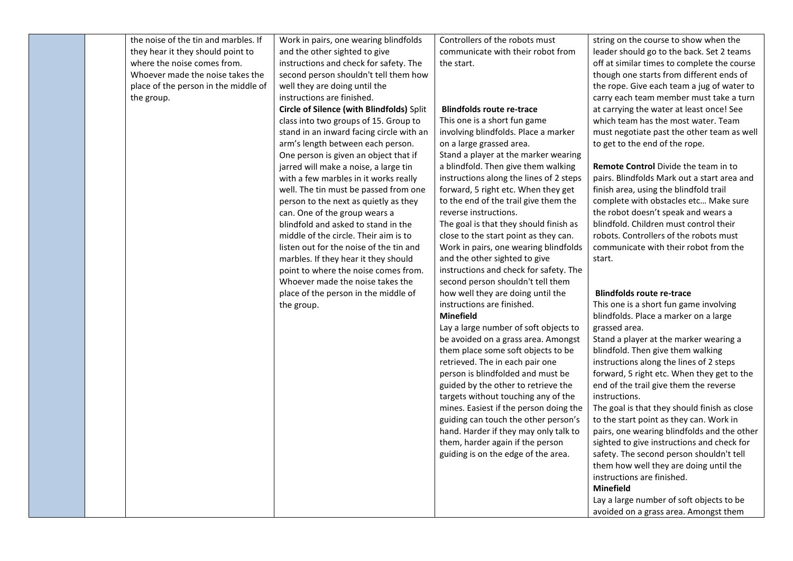| the noise of the tin and marbles. If<br>they hear it they should point to<br>where the noise comes from.<br>Whoever made the noise takes the<br>place of the person in the middle of<br>the group. | Work in pairs, one wearing blindfolds<br>and the other sighted to give<br>instructions and check for safety. The<br>second person shouldn't tell them how<br>well they are doing until the<br>instructions are finished.<br>Circle of Silence (with Blindfolds) Split<br>class into two groups of 15. Group to<br>stand in an inward facing circle with an<br>arm's length between each person.<br>One person is given an object that if<br>jarred will make a noise, a large tin<br>with a few marbles in it works really | Controllers of the robots must<br>communicate with their robot from<br>the start.<br><b>Blindfolds route re-trace</b><br>This one is a short fun game<br>involving blindfolds. Place a marker<br>on a large grassed area.<br>Stand a player at the marker wearing<br>a blindfold. Then give them walking<br>instructions along the lines of 2 steps                                    | string on the course to show when the<br>leader should go to the back. Set 2 teams<br>off at similar times to complete the course<br>though one starts from different ends of<br>the rope. Give each team a jug of water to<br>carry each team member must take a turn<br>at carrying the water at least once! See<br>which team has the most water. Team<br>must negotiate past the other team as well<br>to get to the end of the rope.<br><b>Remote Control Divide the team in to</b><br>pairs. Blindfolds Mark out a start area and |
|----------------------------------------------------------------------------------------------------------------------------------------------------------------------------------------------------|----------------------------------------------------------------------------------------------------------------------------------------------------------------------------------------------------------------------------------------------------------------------------------------------------------------------------------------------------------------------------------------------------------------------------------------------------------------------------------------------------------------------------|----------------------------------------------------------------------------------------------------------------------------------------------------------------------------------------------------------------------------------------------------------------------------------------------------------------------------------------------------------------------------------------|-----------------------------------------------------------------------------------------------------------------------------------------------------------------------------------------------------------------------------------------------------------------------------------------------------------------------------------------------------------------------------------------------------------------------------------------------------------------------------------------------------------------------------------------|
|                                                                                                                                                                                                    | well. The tin must be passed from one<br>person to the next as quietly as they<br>can. One of the group wears a<br>blindfold and asked to stand in the<br>middle of the circle. Their aim is to<br>listen out for the noise of the tin and<br>marbles. If they hear it they should<br>point to where the noise comes from.<br>Whoever made the noise takes the<br>place of the person in the middle of                                                                                                                     | forward, 5 right etc. When they get<br>to the end of the trail give them the<br>reverse instructions.<br>The goal is that they should finish as<br>close to the start point as they can.<br>Work in pairs, one wearing blindfolds<br>and the other sighted to give<br>instructions and check for safety. The<br>second person shouldn't tell them<br>how well they are doing until the | finish area, using the blindfold trail<br>complete with obstacles etc Make sure<br>the robot doesn't speak and wears a<br>blindfold. Children must control their<br>robots. Controllers of the robots must<br>communicate with their robot from the<br>start.<br><b>Blindfolds route re-trace</b>                                                                                                                                                                                                                                       |
|                                                                                                                                                                                                    | the group.                                                                                                                                                                                                                                                                                                                                                                                                                                                                                                                 | instructions are finished.<br><b>Minefield</b><br>Lay a large number of soft objects to<br>be avoided on a grass area. Amongst<br>them place some soft objects to be<br>retrieved. The in each pair one<br>person is blindfolded and must be<br>guided by the other to retrieve the<br>targets without touching any of the<br>mines. Easiest if the person doing the                   | This one is a short fun game involving<br>blindfolds. Place a marker on a large<br>grassed area.<br>Stand a player at the marker wearing a<br>blindfold. Then give them walking<br>instructions along the lines of 2 steps<br>forward, 5 right etc. When they get to the<br>end of the trail give them the reverse<br>instructions.<br>The goal is that they should finish as close                                                                                                                                                     |
|                                                                                                                                                                                                    |                                                                                                                                                                                                                                                                                                                                                                                                                                                                                                                            | guiding can touch the other person's<br>hand. Harder if they may only talk to<br>them, harder again if the person<br>guiding is on the edge of the area.                                                                                                                                                                                                                               | to the start point as they can. Work in<br>pairs, one wearing blindfolds and the other<br>sighted to give instructions and check for<br>safety. The second person shouldn't tell<br>them how well they are doing until the<br>instructions are finished.<br><b>Minefield</b><br>Lay a large number of soft objects to be<br>avoided on a grass area. Amongst them                                                                                                                                                                       |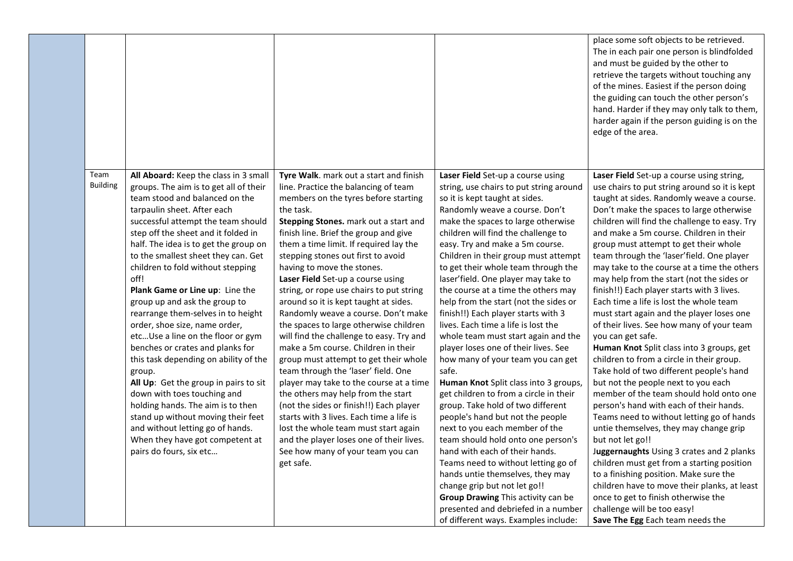|                         |                                                                                                                                                                                                                                                                                                                                                                                                                                                                                                                                                                                                                                                                                                                                                                                                                                                                                        |                                                                                                                                                                                                                                                                                                                                                                                                                                                                                                                                                                                                                                                                                                                                                                                                                                                                                                                                                                                                                                 |                                                                                                                                                                                                                                                                                                                                                                                                                                                                                                                                                                                                                                                                                                                                                                                                                                                                                                                                                                                                                                                                                                                                                                                         | place some soft objects to be retrieved.<br>The in each pair one person is blindfolded<br>and must be guided by the other to<br>retrieve the targets without touching any<br>of the mines. Easiest if the person doing<br>the guiding can touch the other person's<br>hand. Harder if they may only talk to them,<br>harder again if the person guiding is on the<br>edge of the area.                                                                                                                                                                                                                                                                                                                                                                                                                                                                                                                                                                                                                                                                                                                                                                                                                                                                                                                                                                  |
|-------------------------|----------------------------------------------------------------------------------------------------------------------------------------------------------------------------------------------------------------------------------------------------------------------------------------------------------------------------------------------------------------------------------------------------------------------------------------------------------------------------------------------------------------------------------------------------------------------------------------------------------------------------------------------------------------------------------------------------------------------------------------------------------------------------------------------------------------------------------------------------------------------------------------|---------------------------------------------------------------------------------------------------------------------------------------------------------------------------------------------------------------------------------------------------------------------------------------------------------------------------------------------------------------------------------------------------------------------------------------------------------------------------------------------------------------------------------------------------------------------------------------------------------------------------------------------------------------------------------------------------------------------------------------------------------------------------------------------------------------------------------------------------------------------------------------------------------------------------------------------------------------------------------------------------------------------------------|-----------------------------------------------------------------------------------------------------------------------------------------------------------------------------------------------------------------------------------------------------------------------------------------------------------------------------------------------------------------------------------------------------------------------------------------------------------------------------------------------------------------------------------------------------------------------------------------------------------------------------------------------------------------------------------------------------------------------------------------------------------------------------------------------------------------------------------------------------------------------------------------------------------------------------------------------------------------------------------------------------------------------------------------------------------------------------------------------------------------------------------------------------------------------------------------|---------------------------------------------------------------------------------------------------------------------------------------------------------------------------------------------------------------------------------------------------------------------------------------------------------------------------------------------------------------------------------------------------------------------------------------------------------------------------------------------------------------------------------------------------------------------------------------------------------------------------------------------------------------------------------------------------------------------------------------------------------------------------------------------------------------------------------------------------------------------------------------------------------------------------------------------------------------------------------------------------------------------------------------------------------------------------------------------------------------------------------------------------------------------------------------------------------------------------------------------------------------------------------------------------------------------------------------------------------|
| Team<br><b>Building</b> | All Aboard: Keep the class in 3 small<br>groups. The aim is to get all of their<br>team stood and balanced on the<br>tarpaulin sheet. After each<br>successful attempt the team should<br>step off the sheet and it folded in<br>half. The idea is to get the group on<br>to the smallest sheet they can. Get<br>children to fold without stepping<br>off!<br>Plank Game or Line up: Line the<br>group up and ask the group to<br>rearrange them-selves in to height<br>order, shoe size, name order,<br>etcUse a line on the floor or gym<br>benches or crates and planks for<br>this task depending on ability of the<br>group.<br>All Up: Get the group in pairs to sit<br>down with toes touching and<br>holding hands. The aim is to then<br>stand up without moving their feet<br>and without letting go of hands.<br>When they have got competent at<br>pairs do fours, six etc | Tyre Walk. mark out a start and finish<br>line. Practice the balancing of team<br>members on the tyres before starting<br>the task.<br>Stepping Stones. mark out a start and<br>finish line. Brief the group and give<br>them a time limit. If required lay the<br>stepping stones out first to avoid<br>having to move the stones.<br>Laser Field Set-up a course using<br>string, or rope use chairs to put string<br>around so it is kept taught at sides.<br>Randomly weave a course. Don't make<br>the spaces to large otherwise children<br>will find the challenge to easy. Try and<br>make a 5m course. Children in their<br>group must attempt to get their whole<br>team through the 'laser' field. One<br>player may take to the course at a time<br>the others may help from the start<br>(not the sides or finish!!) Each player<br>starts with 3 lives. Each time a life is<br>lost the whole team must start again<br>and the player loses one of their lives.<br>See how many of your team you can<br>get safe. | Laser Field Set-up a course using<br>string, use chairs to put string around<br>so it is kept taught at sides.<br>Randomly weave a course. Don't<br>make the spaces to large otherwise<br>children will find the challenge to<br>easy. Try and make a 5m course.<br>Children in their group must attempt<br>to get their whole team through the<br>laser'field. One player may take to<br>the course at a time the others may<br>help from the start (not the sides or<br>finish!!) Each player starts with 3<br>lives. Each time a life is lost the<br>whole team must start again and the<br>player loses one of their lives. See<br>how many of your team you can get<br>safe.<br>Human Knot Split class into 3 groups,<br>get children to from a circle in their<br>group. Take hold of two different<br>people's hand but not the people<br>next to you each member of the<br>team should hold onto one person's<br>hand with each of their hands.<br>Teams need to without letting go of<br>hands untie themselves, they may<br>change grip but not let go!!<br>Group Drawing This activity can be<br>presented and debriefed in a number<br>of different ways. Examples include: | Laser Field Set-up a course using string,<br>use chairs to put string around so it is kept<br>taught at sides. Randomly weave a course.<br>Don't make the spaces to large otherwise<br>children will find the challenge to easy. Try<br>and make a 5m course. Children in their<br>group must attempt to get their whole<br>team through the 'laser' field. One player<br>may take to the course at a time the others<br>may help from the start (not the sides or<br>finish!!) Each player starts with 3 lives.<br>Each time a life is lost the whole team<br>must start again and the player loses one<br>of their lives. See how many of your team<br>you can get safe.<br>Human Knot Split class into 3 groups, get<br>children to from a circle in their group.<br>Take hold of two different people's hand<br>but not the people next to you each<br>member of the team should hold onto one<br>person's hand with each of their hands.<br>Teams need to without letting go of hands<br>untie themselves, they may change grip<br>but not let go!!<br>Juggernaughts Using 3 crates and 2 planks<br>children must get from a starting position<br>to a finishing position. Make sure the<br>children have to move their planks, at least<br>once to get to finish otherwise the<br>challenge will be too easy!<br>Save The Egg Each team needs the |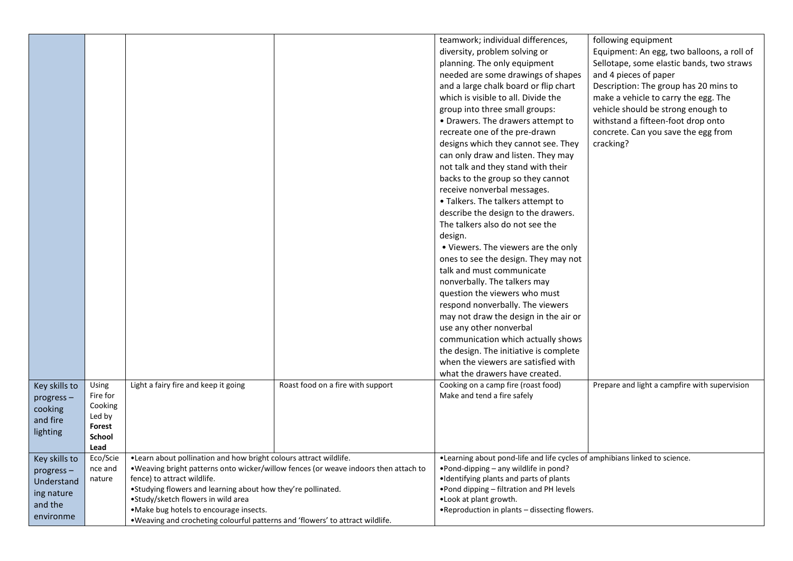| teamwork; individual differences,<br>following equipment<br>diversity, problem solving or<br>Equipment: An egg, two balloons, a roll of<br>planning. The only equipment<br>Sellotape, some elastic bands, two straws<br>needed are some drawings of shapes<br>and 4 pieces of paper |  |
|-------------------------------------------------------------------------------------------------------------------------------------------------------------------------------------------------------------------------------------------------------------------------------------|--|
|                                                                                                                                                                                                                                                                                     |  |
|                                                                                                                                                                                                                                                                                     |  |
|                                                                                                                                                                                                                                                                                     |  |
|                                                                                                                                                                                                                                                                                     |  |
| and a large chalk board or flip chart<br>Description: The group has 20 mins to                                                                                                                                                                                                      |  |
| which is visible to all. Divide the<br>make a vehicle to carry the egg. The                                                                                                                                                                                                         |  |
| vehicle should be strong enough to<br>group into three small groups:                                                                                                                                                                                                                |  |
| withstand a fifteen-foot drop onto<br>• Drawers. The drawers attempt to                                                                                                                                                                                                             |  |
| recreate one of the pre-drawn<br>concrete. Can you save the egg from                                                                                                                                                                                                                |  |
| cracking?<br>designs which they cannot see. They                                                                                                                                                                                                                                    |  |
| can only draw and listen. They may                                                                                                                                                                                                                                                  |  |
| not talk and they stand with their                                                                                                                                                                                                                                                  |  |
| backs to the group so they cannot                                                                                                                                                                                                                                                   |  |
| receive nonverbal messages.                                                                                                                                                                                                                                                         |  |
| • Talkers. The talkers attempt to                                                                                                                                                                                                                                                   |  |
| describe the design to the drawers.                                                                                                                                                                                                                                                 |  |
| The talkers also do not see the                                                                                                                                                                                                                                                     |  |
| design.                                                                                                                                                                                                                                                                             |  |
| • Viewers. The viewers are the only                                                                                                                                                                                                                                                 |  |
| ones to see the design. They may not                                                                                                                                                                                                                                                |  |
| talk and must communicate                                                                                                                                                                                                                                                           |  |
| nonverbally. The talkers may                                                                                                                                                                                                                                                        |  |
| question the viewers who must                                                                                                                                                                                                                                                       |  |
| respond nonverbally. The viewers                                                                                                                                                                                                                                                    |  |
| may not draw the design in the air or                                                                                                                                                                                                                                               |  |
| use any other nonverbal                                                                                                                                                                                                                                                             |  |
| communication which actually shows                                                                                                                                                                                                                                                  |  |
| the design. The initiative is complete                                                                                                                                                                                                                                              |  |
| when the viewers are satisfied with                                                                                                                                                                                                                                                 |  |
|                                                                                                                                                                                                                                                                                     |  |
| what the drawers have created.<br>Light a fairy fire and keep it going<br>Cooking on a camp fire (roast food)<br>Prepare and light a campfire with supervision                                                                                                                      |  |
| Key skills to<br>Using<br>Roast food on a fire with support<br>Fire for<br>Make and tend a fire safely                                                                                                                                                                              |  |
| progress-<br>Cooking                                                                                                                                                                                                                                                                |  |
| cooking<br>Led by                                                                                                                                                                                                                                                                   |  |
| and fire<br>Forest                                                                                                                                                                                                                                                                  |  |
| lighting<br>School                                                                                                                                                                                                                                                                  |  |
| Lead                                                                                                                                                                                                                                                                                |  |
| Eco/Scie<br>. Learn about pollination and how bright colours attract wildlife.<br>. Learning about pond-life and life cycles of amphibians linked to science.<br>Key skills to                                                                                                      |  |
| . Weaving bright patterns onto wicker/willow fences (or weave indoors then attach to<br>•Pond-dipping - any wildlife in pond?<br>nce and<br>progress-                                                                                                                               |  |
| fence) to attract wildlife.<br>•Identifying plants and parts of plants<br>nature<br>Understand                                                                                                                                                                                      |  |
|                                                                                                                                                                                                                                                                                     |  |
| .Studying flowers and learning about how they're pollinated.<br>. Pond dipping - filtration and PH levels<br>ing nature                                                                                                                                                             |  |
| •Study/sketch flowers in wild area<br>.Look at plant growth.<br>and the<br>.Reproduction in plants - dissecting flowers.<br>.Make bug hotels to encourage insects.                                                                                                                  |  |